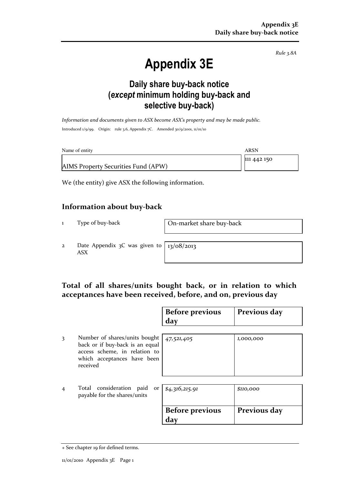Rule 3.8A

# Appendix 3E

### Daily share buy-back notice (except minimum holding buy-back and selective buy-back)

Information and documents given to ASX become ASX's property and may be made public. Introduced 1/9/99. Origin: rule 3.6, Appendix 7C. Amended 30/9/2001, 11/01/10

| Name of entity                      | ARSN        |
|-------------------------------------|-------------|
|                                     | 111 442 150 |
| AIMS Property Securities Fund (APW) |             |

We (the entity) give ASX the following information.

#### Information about buy-back

1 Type of buy-back On-market share buy-back

2 Date Appendix 3C was given to ASX

13/08/2013

#### Total of all shares/units bought back, or in relation to which acceptances have been received, before, and on, previous day

|                |                                                                                                                                              | <b>Before previous</b><br>day | Previous day |
|----------------|----------------------------------------------------------------------------------------------------------------------------------------------|-------------------------------|--------------|
| 3              | Number of shares/units bought<br>back or if buy-back is an equal<br>access scheme, in relation to<br>which acceptances have been<br>received | 47,521,405                    | 1,000,000    |
| $\overline{4}$ | Total consideration paid<br>or <sub>l</sub><br>payable for the shares/units                                                                  | \$4,316,215.91                | \$110,000    |
|                |                                                                                                                                              | <b>Before previous</b><br>day | Previous day |

<sup>+</sup> See chapter 19 for defined terms.